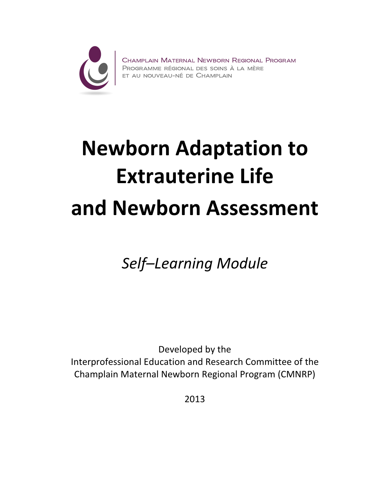

Champlain Maternal Newborn Regional Program<br>Programme régional des soins à la mère<br>et au nouveau-né de Champlain

# Newborn Adaptation to Extrauterine Life and Newborn Assessment

Self–Learning Module

Developed by the Interprofessional Education and Research Committee of the Champlain Maternal Newborn Regional Program (CMNRP)

2013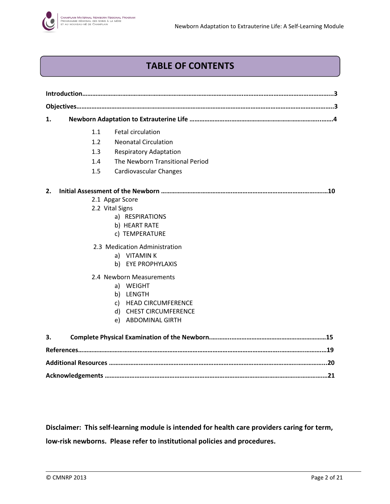# TABLE OF CONTENTS

| 1. |     |                                  |
|----|-----|----------------------------------|
|    | 1.1 | <b>Fetal circulation</b>         |
|    | 1.2 | <b>Neonatal Circulation</b>      |
|    | 1.3 | <b>Respiratory Adaptation</b>    |
|    | 1.4 | The Newborn Transitional Period  |
|    | 1.5 | <b>Cardiovascular Changes</b>    |
| 2. |     |                                  |
|    |     | 2.1 Apgar Score                  |
|    |     | 2.2 Vital Signs                  |
|    |     | a) RESPIRATIONS                  |
|    |     | b) HEART RATE                    |
|    |     | c) TEMPERATURE                   |
|    |     | 2.3 Medication Administration    |
|    |     | a) VITAMINK                      |
|    |     | b) EYE PROPHYLAXIS               |
|    |     | 2.4 Newborn Measurements         |
|    |     | a) WEIGHT                        |
|    |     | b) LENGTH                        |
|    |     | c) HEAD CIRCUMFERENCE            |
|    |     | <b>CHEST CIRCUMFERENCE</b><br>d) |
|    |     | <b>ABDOMINAL GIRTH</b><br>e)     |
| 3. |     |                                  |
|    |     |                                  |
|    |     |                                  |
|    |     |                                  |

Disclaimer: This self-learning module is intended for health care providers caring for term, low-risk newborns. Please refer to institutional policies and procedures.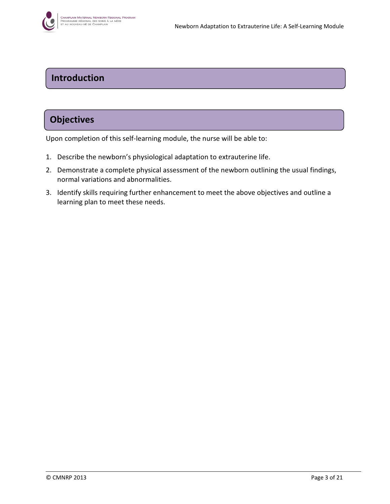

# Introduction

# **Objectives**

Upon completion of this self-learning module, the nurse will be able to:

- 1. Describe the newborn's physiological adaptation to extrauterine life.
- 2. Demonstrate a complete physical assessment of the newborn outlining the usual findings, normal variations and abnormalities.
- 3. Identify skills requiring further enhancement to meet the above objectives and outline a learning plan to meet these needs.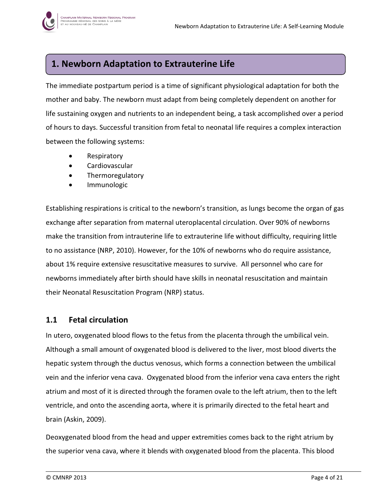

# 1. Newborn Adaptation to Extrauterine Life

The immediate postpartum period is a time of significant physiological adaptation for both the mother and baby. The newborn must adapt from being completely dependent on another for life sustaining oxygen and nutrients to an independent being, a task accomplished over a period of hours to days. Successful transition from fetal to neonatal life requires a complex interaction between the following systems:

- Respiratory
- Cardiovascular
- **Thermoregulatory**
- **Immunologic**

Establishing respirations is critical to the newborn's transition, as lungs become the organ of gas exchange after separation from maternal uteroplacental circulation. Over 90% of newborns make the transition from intrauterine life to extrauterine life without difficulty, requiring little to no assistance (NRP, 2010). However, for the 10% of newborns who do require assistance, about 1% require extensive resuscitative measures to survive. All personnel who care for newborns immediately after birth should have skills in neonatal resuscitation and maintain their Neonatal Resuscitation Program (NRP) status.

## 1.1 Fetal circulation

In utero, oxygenated blood flows to the fetus from the placenta through the umbilical vein. Although a small amount of oxygenated blood is delivered to the liver, most blood diverts the hepatic system through the ductus venosus, which forms a connection between the umbilical vein and the inferior vena cava. Oxygenated blood from the inferior vena cava enters the right atrium and most of it is directed through the foramen ovale to the left atrium, then to the left ventricle, and onto the ascending aorta, where it is primarily directed to the fetal heart and brain (Askin, 2009).

Deoxygenated blood from the head and upper extremities comes back to the right atrium by the superior vena cava, where it blends with oxygenated blood from the placenta. This blood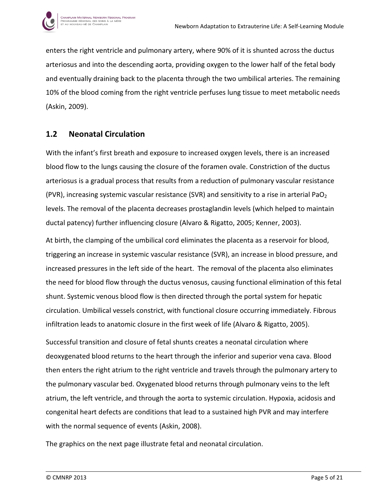

enters the right ventricle and pulmonary artery, where 90% of it is shunted across the ductus arteriosus and into the descending aorta, providing oxygen to the lower half of the fetal body and eventually draining back to the placenta through the two umbilical arteries. The remaining 10% of the blood coming from the right ventricle perfuses lung tissue to meet metabolic needs (Askin, 2009).

## 1.2 Neonatal Circulation

With the infant's first breath and exposure to increased oxygen levels, there is an increased blood flow to the lungs causing the closure of the foramen ovale. Constriction of the ductus arteriosus is a gradual process that results from a reduction of pulmonary vascular resistance (PVR), increasing systemic vascular resistance (SVR) and sensitivity to a rise in arterial PaO<sub>2</sub> levels. The removal of the placenta decreases prostaglandin levels (which helped to maintain ductal patency) further influencing closure (Alvaro & Rigatto, 2005; Kenner, 2003).

At birth, the clamping of the umbilical cord eliminates the placenta as a reservoir for blood, triggering an increase in systemic vascular resistance (SVR), an increase in blood pressure, and increased pressures in the left side of the heart. The removal of the placenta also eliminates the need for blood flow through the ductus venosus, causing functional elimination of this fetal shunt. Systemic venous blood flow is then directed through the portal system for hepatic circulation. Umbilical vessels constrict, with functional closure occurring immediately. Fibrous infiltration leads to anatomic closure in the first week of life (Alvaro & Rigatto, 2005).

Successful transition and closure of fetal shunts creates a neonatal circulation where deoxygenated blood returns to the heart through the inferior and superior vena cava. Blood then enters the right atrium to the right ventricle and travels through the pulmonary artery to the pulmonary vascular bed. Oxygenated blood returns through pulmonary veins to the left atrium, the left ventricle, and through the aorta to systemic circulation. Hypoxia, acidosis and congenital heart defects are conditions that lead to a sustained high PVR and may interfere with the normal sequence of events (Askin, 2008).

The graphics on the next page illustrate fetal and neonatal circulation.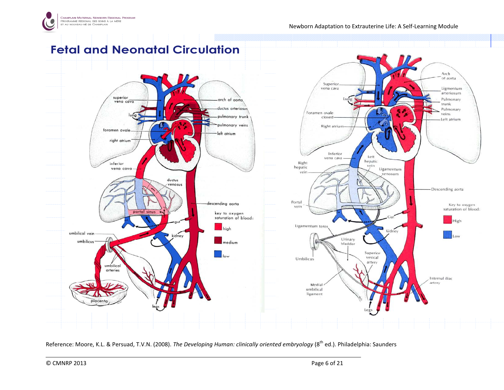

# Fetal and Neonatal Circulation



Reference: Moore, K.L. & Persuad, T.V.N. (2008). The Developing Human: clinically oriented embryology (8<sup>th</sup> ed.). Philadelphia: Saunders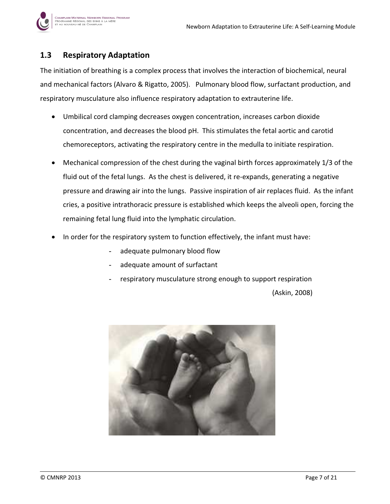

# 1.3 Respiratory Adaptation

.<br>Champlain Maternal Newborn Regional Program ogramme régional des soins à la mère<br>au nouveau-né de Champlain

The initiation of breathing is a complex process that involves the interaction of biochemical, neural and mechanical factors (Alvaro & Rigatto, 2005). Pulmonary blood flow, surfactant production, and respiratory musculature also influence respiratory adaptation to extrauterine life.

- Umbilical cord clamping decreases oxygen concentration, increases carbon dioxide concentration, and decreases the blood pH. This stimulates the fetal aortic and carotid chemoreceptors, activating the respiratory centre in the medulla to initiate respiration.
- Mechanical compression of the chest during the vaginal birth forces approximately 1/3 of the fluid out of the fetal lungs. As the chest is delivered, it re-expands, generating a negative pressure and drawing air into the lungs. Passive inspiration of air replaces fluid. As the infant cries, a positive intrathoracic pressure is established which keeps the alveoli open, forcing the remaining fetal lung fluid into the lymphatic circulation.
- In order for the respiratory system to function effectively, the infant must have:
	- adequate pulmonary blood flow
	- adequate amount of surfactant
	- respiratory musculature strong enough to support respiration

(Askin, 2008)

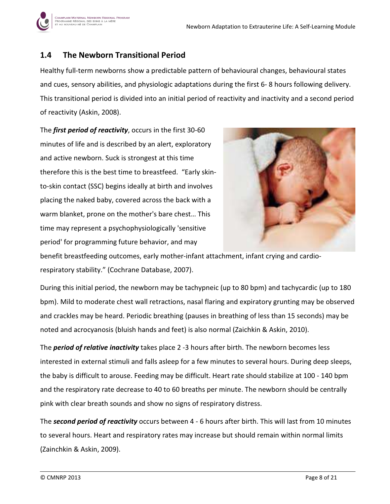

## 1.4 The Newborn Transitional Period

Healthy full-term newborns show a predictable pattern of behavioural changes, behavioural states and cues, sensory abilities, and physiologic adaptations during the first 6- 8 hours following delivery. This transitional period is divided into an initial period of reactivity and inactivity and a second period of reactivity (Askin, 2008).

The *first period of reactivity*, occurs in the first 30-60 minutes of life and is described by an alert, exploratory and active newborn. Suck is strongest at this time therefore this is the best time to breastfeed. "Early skinto-skin contact (SSC) begins ideally at birth and involves placing the naked baby, covered across the back with a warm blanket, prone on the mother's bare chest… This time may represent a psychophysiologically 'sensitive period' for programming future behavior, and may



benefit breastfeeding outcomes, early mother-infant attachment, infant crying and cardiorespiratory stability." (Cochrane Database, 2007).

During this initial period, the newborn may be tachypneic (up to 80 bpm) and tachycardic (up to 180 bpm). Mild to moderate chest wall retractions, nasal flaring and expiratory grunting may be observed and crackles may be heard. Periodic breathing (pauses in breathing of less than 15 seconds) may be noted and acrocyanosis (bluish hands and feet) is also normal (Zaichkin & Askin, 2010).

The **period of relative inactivity** takes place 2 -3 hours after birth. The newborn becomes less interested in external stimuli and falls asleep for a few minutes to several hours. During deep sleeps, the baby is difficult to arouse. Feeding may be difficult. Heart rate should stabilize at 100 - 140 bpm and the respiratory rate decrease to 40 to 60 breaths per minute. The newborn should be centrally pink with clear breath sounds and show no signs of respiratory distress.

The second period of reactivity occurs between 4 - 6 hours after birth. This will last from 10 minutes to several hours. Heart and respiratory rates may increase but should remain within normal limits (Zainchkin & Askin, 2009).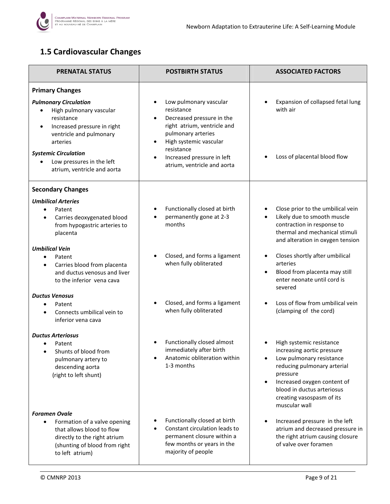

# 1.5 Cardiovascular Changes

| <b>PRENATAL STATUS</b>                                                                                                                                                                                                                              | <b>POSTBIRTH STATUS</b>                                                                                                                                                                                                                  | <b>ASSOCIATED FACTORS</b>                                                                                                                                                                                                                                          |
|-----------------------------------------------------------------------------------------------------------------------------------------------------------------------------------------------------------------------------------------------------|------------------------------------------------------------------------------------------------------------------------------------------------------------------------------------------------------------------------------------------|--------------------------------------------------------------------------------------------------------------------------------------------------------------------------------------------------------------------------------------------------------------------|
| <b>Primary Changes</b>                                                                                                                                                                                                                              |                                                                                                                                                                                                                                          |                                                                                                                                                                                                                                                                    |
| <b>Pulmonary Circulation</b><br>High pulmonary vascular<br>resistance<br>Increased pressure in right<br>$\bullet$<br>ventricle and pulmonary<br>arteries<br><b>Systemic Circulation</b><br>Low pressures in the left<br>atrium, ventricle and aorta | Low pulmonary vascular<br>resistance<br>Decreased pressure in the<br>right atrium, ventricle and<br>pulmonary arteries<br>High systemic vascular<br>resistance<br>Increased pressure in left<br>$\bullet$<br>atrium, ventricle and aorta | Expansion of collapsed fetal lung<br>with air<br>Loss of placental blood flow                                                                                                                                                                                      |
|                                                                                                                                                                                                                                                     |                                                                                                                                                                                                                                          |                                                                                                                                                                                                                                                                    |
| <b>Secondary Changes</b>                                                                                                                                                                                                                            |                                                                                                                                                                                                                                          |                                                                                                                                                                                                                                                                    |
| <b>Umbilical Arteries</b><br>Patent<br>$\bullet$<br>Carries deoxygenated blood<br>$\bullet$<br>from hypogastric arteries to<br>placenta                                                                                                             | Functionally closed at birth<br>permanently gone at 2-3<br>months                                                                                                                                                                        | Close prior to the umbilical vein<br>٠<br>Likely due to smooth muscle<br>$\bullet$<br>contraction in response to<br>thermal and mechanical stimuli<br>and alteration in oxygen tension                                                                             |
| <b>Umbilical Vein</b><br>Patent<br>$\bullet$<br>Carries blood from placenta<br>$\bullet$<br>and ductus venosus and liver<br>to the inferior vena cava                                                                                               | Closed, and forms a ligament<br>when fully obliterated                                                                                                                                                                                   | Closes shortly after umbilical<br>$\bullet$<br>arteries<br>Blood from placenta may still<br>$\bullet$<br>enter neonate until cord is<br>severed                                                                                                                    |
| <b>Ductus Venosus</b><br>Patent<br>$\bullet$<br>Connects umbilical vein to<br>$\bullet$<br>inferior vena cava                                                                                                                                       | Closed, and forms a ligament<br>when fully obliterated                                                                                                                                                                                   | Loss of flow from umbilical vein<br>$\bullet$<br>(clamping of the cord)                                                                                                                                                                                            |
| <b>Ductus Arteriosus</b><br>Patent<br>Shunts of blood from<br>pulmonary artery to<br>descending aorta<br>(right to left shunt)                                                                                                                      | Functionally closed almost<br>immediately after birth<br>Anatomic obliteration within<br>1-3 months                                                                                                                                      | High systemic resistance<br>increasing aortic pressure<br>Low pulmonary resistance<br>$\bullet$<br>reducing pulmonary arterial<br>pressure<br>Increased oxygen content of<br>$\bullet$<br>blood in ductus arteriosus<br>creating vasospasm of its<br>muscular wall |
| <b>Foramen Ovale</b><br>Formation of a valve opening<br>$\bullet$<br>that allows blood to flow<br>directly to the right atrium<br>(shunting of blood from right<br>to left atrium)                                                                  | Functionally closed at birth<br>Constant circulation leads to<br>permanent closure within a<br>few months or years in the<br>majority of people                                                                                          | Increased pressure in the left<br>$\bullet$<br>atrium and decreased pressure in<br>the right atrium causing closure<br>of valve over foramen                                                                                                                       |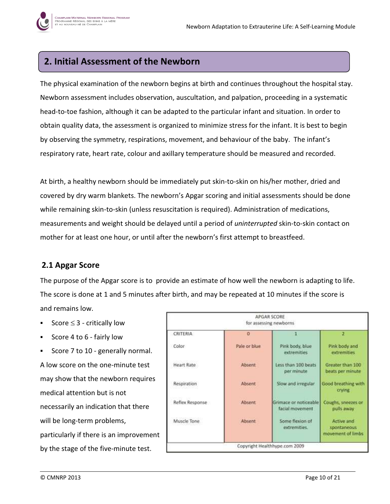# 2. Initial Assessment of the Newborn

The physical examination of the newborn begins at birth and continues throughout the hospital stay. Newborn assessment includes observation, auscultation, and palpation, proceeding in a systematic head-to-toe fashion, although it can be adapted to the particular infant and situation. In order to obtain quality data, the assessment is organized to minimize stress for the infant. It is best to begin by observing the symmetry, respirations, movement, and behaviour of the baby. The infant's respiratory rate, heart rate, colour and axillary temperature should be measured and recorded.

At birth, a healthy newborn should be immediately put skin-to-skin on his/her mother, dried and covered by dry warm blankets. The newborn's Apgar scoring and initial assessments should be done while remaining skin-to-skin (unless resuscitation is required). Administration of medications, measurements and weight should be delayed until a period of *uninterrupted* skin-to-skin contact on mother for at least one hour, or until after the newborn's first attempt to breastfeed.

## 2.1 Apgar Score

The purpose of the Apgar score is to provide an estimate of how well the newborn is adapting to life. The score is done at 1 and 5 minutes after birth, and may be repeated at 10 minutes if the score is and remains low.

- Score  $\leq$  3 critically low
- Score 4 to 6 fairly low
- Score 7 to 10 generally normal. A low score on the one-minute test may show that the newborn requires medical attention but is not necessarily an indication that there will be long-term problems, particularly if there is an improvement by the stage of the five-minute test.

| CRITERIA        | $\alpha$     |                                          | 2                                              |
|-----------------|--------------|------------------------------------------|------------------------------------------------|
| Color           | Pale or blue | Pink body, blue<br>extremities.          | Pink body and<br>extremities                   |
| Heart Rate      | Absent       | Less than 100 beats<br>per minute        | Greater than 100<br>beats per minute           |
| Respiration     | Absent       | Slow and irregular                       | Good breathing with<br>crying                  |
| Reflex Response | Absent       | Grimace or noticeable<br>facial movement | Coughs, sneezes or<br>pulls away               |
| Muscle Tone     | Absent       | Some flexion of<br>extremities.          | Active and<br>spontaneous<br>movement of limbs |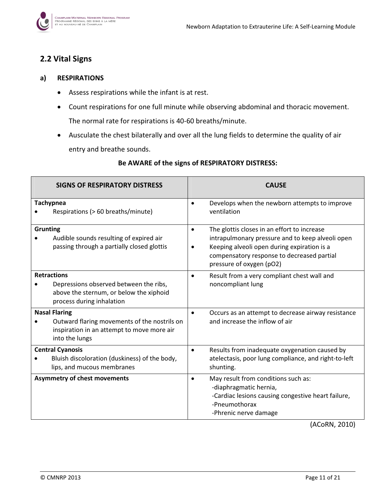

## 2.2 Vital Signs

#### a) RESPIRATIONS

- Assess respirations while the infant is at rest.
- Count respirations for one full minute while observing abdominal and thoracic movement. The normal rate for respirations is 40-60 breaths/minute.
- Ausculate the chest bilaterally and over all the lung fields to determine the quality of air entry and breathe sounds.

| <b>SIGNS OF RESPIRATORY DISTRESS</b>                                                                                                              | <b>CAUSE</b>                                                                                                                                                                                                                                       |
|---------------------------------------------------------------------------------------------------------------------------------------------------|----------------------------------------------------------------------------------------------------------------------------------------------------------------------------------------------------------------------------------------------------|
| <b>Tachypnea</b><br>Respirations (> 60 breaths/minute)                                                                                            | Develops when the newborn attempts to improve<br>$\bullet$<br>ventilation                                                                                                                                                                          |
| <b>Grunting</b><br>Audible sounds resulting of expired air<br>passing through a partially closed glottis                                          | The glottis closes in an effort to increase<br>$\bullet$<br>intrapulmonary pressure and to keep alveoli open<br>Keeping alveoli open during expiration is a<br>$\bullet$<br>compensatory response to decreased partial<br>pressure of oxygen (pO2) |
| <b>Retractions</b><br>Depressions observed between the ribs,<br>above the sternum, or below the xiphoid<br>process during inhalation              | Result from a very compliant chest wall and<br>$\bullet$<br>noncompliant lung                                                                                                                                                                      |
| <b>Nasal Flaring</b><br>Outward flaring movements of the nostrils on<br>$\bullet$<br>inspiration in an attempt to move more air<br>into the lungs | Occurs as an attempt to decrease airway resistance<br>$\bullet$<br>and increase the inflow of air                                                                                                                                                  |
| <b>Central Cyanosis</b><br>Bluish discoloration (duskiness) of the body,<br>lips, and mucous membranes                                            | Results from inadequate oxygenation caused by<br>$\bullet$<br>atelectasis, poor lung compliance, and right-to-left<br>shunting.                                                                                                                    |
| <b>Asymmetry of chest movements</b>                                                                                                               | May result from conditions such as:<br>$\bullet$<br>-diaphragmatic hernia,<br>-Cardiac lesions causing congestive heart failure,<br>-Pneumothorax<br>-Phrenic nerve damage                                                                         |

#### Be AWARE of the signs of RESPIRATORY DISTRESS:

(ACoRN, 2010)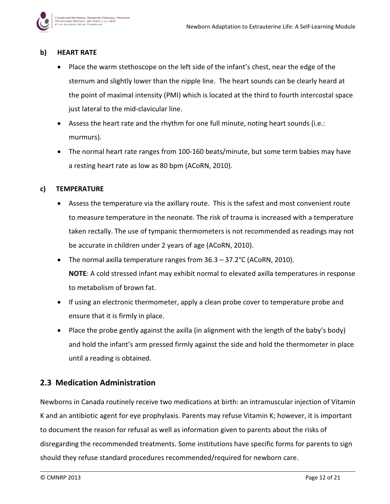

#### b) HEART RATE

- Place the warm stethoscope on the left side of the infant's chest, near the edge of the sternum and slightly lower than the nipple line. The heart sounds can be clearly heard at the point of maximal intensity (PMI) which is located at the third to fourth intercostal space just lateral to the mid-clavicular line.
- Assess the heart rate and the rhythm for one full minute, noting heart sounds (i.e.: murmurs).
- The normal heart rate ranges from 100-160 beats/minute, but some term babies may have a resting heart rate as low as 80 bpm (ACoRN, 2010).

#### c) TEMPERATURE

- Assess the temperature via the axillary route. This is the safest and most convenient route to measure temperature in the neonate. The risk of trauma is increased with a temperature taken rectally. The use of tympanic thermometers is not recommended as readings may not be accurate in children under 2 years of age (ACoRN, 2010).
- The normal axilla temperature ranges from 36.3 37.2°C (ACoRN, 2010). NOTE: A cold stressed infant may exhibit normal to elevated axilla temperatures in response to metabolism of brown fat.
- If using an electronic thermometer, apply a clean probe cover to temperature probe and ensure that it is firmly in place.
- Place the probe gently against the axilla (in alignment with the length of the baby's body) and hold the infant's arm pressed firmly against the side and hold the thermometer in place until a reading is obtained.

## 2.3 Medication Administration

Newborns in Canada routinely receive two medications at birth: an intramuscular injection of Vitamin K and an antibiotic agent for eye prophylaxis. Parents may refuse Vitamin K; however, it is important to document the reason for refusal as well as information given to parents about the risks of disregarding the recommended treatments. Some institutions have specific forms for parents to sign should they refuse standard procedures recommended/required for newborn care.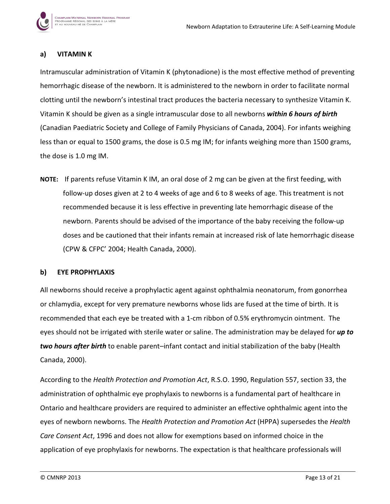

.<br>Champlain Maternal Newborn Regional Program ogramme régional des soins à la mère<br>au nouveau-né de Champlain

Intramuscular administration of Vitamin K (phytonadione) is the most effective method of preventing hemorrhagic disease of the newborn. It is administered to the newborn in order to facilitate normal clotting until the newborn's intestinal tract produces the bacteria necessary to synthesize Vitamin K. Vitamin K should be given as a single intramuscular dose to all newborns within 6 hours of birth (Canadian Paediatric Society and College of Family Physicians of Canada, 2004). For infants weighing less than or equal to 1500 grams, the dose is 0.5 mg IM; for infants weighing more than 1500 grams, the dose is 1.0 mg IM.

NOTE: If parents refuse Vitamin K IM, an oral dose of 2 mg can be given at the first feeding, with follow-up doses given at 2 to 4 weeks of age and 6 to 8 weeks of age. This treatment is not recommended because it is less effective in preventing late hemorrhagic disease of the newborn. Parents should be advised of the importance of the baby receiving the follow-up doses and be cautioned that their infants remain at increased risk of late hemorrhagic disease (CPW & CFPC' 2004; Health Canada, 2000).

#### b) EYE PROPHYLAXIS

All newborns should receive a prophylactic agent against ophthalmia neonatorum, from gonorrhea or chlamydia, except for very premature newborns whose lids are fused at the time of birth. It is recommended that each eye be treated with a 1-cm ribbon of 0.5% erythromycin ointment. The eyes should not be irrigated with sterile water or saline. The administration may be delayed for up to two hours after birth to enable parent–infant contact and initial stabilization of the baby (Health Canada, 2000).

According to the Health Protection and Promotion Act, R.S.O. 1990, Regulation 557, section 33, the administration of ophthalmic eye prophylaxis to newborns is a fundamental part of healthcare in Ontario and healthcare providers are required to administer an effective ophthalmic agent into the eyes of newborn newborns. The Health Protection and Promotion Act (HPPA) supersedes the Health Care Consent Act, 1996 and does not allow for exemptions based on informed choice in the application of eye prophylaxis for newborns. The expectation is that healthcare professionals will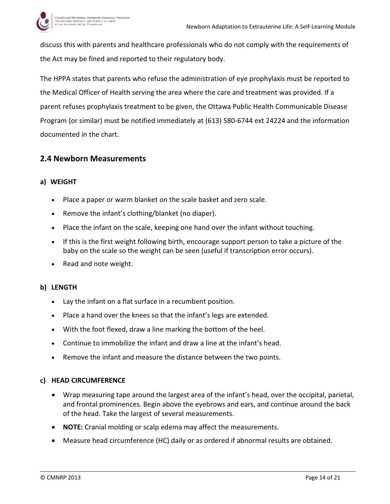

discuss this with parents and healthcare professionals who do not comply with the requirements of the Act may be fined and reported to their regulatory body.

The HPPA states that parents who refuse the administration of eye prophylaxis must be reported to the Medical Officer of Health serving the area where the care and treatment was provided. If a parent refuses prophylaxis treatment to be given, the Ottawa Public Health Communicable Disease Program (or similar) must be notified immediately at (613) 580-6744 ext 24224 and the information documented in the chart.

## 2.4 Newborn Measurements

#### a) WEIGHT

- Place a paper or warm blanket on the scale basket and zero scale.
- Remove the infant's clothing/blanket (no diaper).
- Place the infant on the scale, keeping one hand over the infant without touching.
- If this is the first weight following birth, encourage support person to take a picture of the baby on the scale so the weight can be seen (useful if transcription error occurs).
- Read and note weight.

#### b) LENGTH

- Lay the infant on a flat surface in a recumbent position.
- Place a hand over the knees so that the infant's legs are extended.
- With the foot flexed, draw a line marking the bottom of the heel.
- Continue to immobilize the infant and draw a line at the infant's head.
- Remove the infant and measure the distance between the two points.

#### c) HEAD CIRCUMFERENCE

- Wrap measuring tape around the largest area of the infant's head, over the occipital, parietal, and frontal prominences. Begin above the eyebrows and ears, and continue around the back of the head. Take the largest of several measurements.
- NOTE: Cranial molding or scalp edema may affect the measurements.
- Measure head circumference (HC) daily or as ordered if abnormal results are obtained.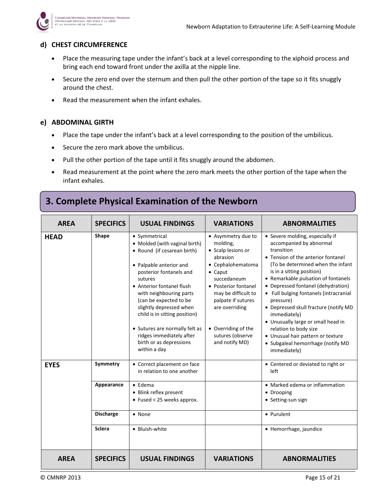

#### d) CHEST CIRCUMFERENCE

- Place the measuring tape under the infant's back at a level corresponding to the xiphoid process and bring each end toward front under the axilla at the nipple line.
- Secure the zero end over the sternum and then pull the other portion of the tape so it fits snuggly around the chest.
- Read the measurement when the infant exhales.

#### e) ABDOMINAL GIRTH

- Place the tape under the infant's back at a level corresponding to the position of the umbilicus.
- Secure the zero mark above the umbilicus.
- Pull the other portion of the tape until it fits snuggly around the abdomen.
- Read measurement at the point where the zero mark meets the other portion of the tape when the infant exhales.

# 3. Complete Physical Examination of the Newborn

| <b>AREA</b> | <b>SPECIFICS</b> | <b>USUAL FINDINGS</b>                                                                                                                                                                                                                                                                                                                                                                                 | <b>VARIATIONS</b>                                                                                                                                                                                                                                                           | <b>ABNORMALITIES</b>                                                                                                                                                                                                                                                                                                                                                                                                                                                                                                                   |
|-------------|------------------|-------------------------------------------------------------------------------------------------------------------------------------------------------------------------------------------------------------------------------------------------------------------------------------------------------------------------------------------------------------------------------------------------------|-----------------------------------------------------------------------------------------------------------------------------------------------------------------------------------------------------------------------------------------------------------------------------|----------------------------------------------------------------------------------------------------------------------------------------------------------------------------------------------------------------------------------------------------------------------------------------------------------------------------------------------------------------------------------------------------------------------------------------------------------------------------------------------------------------------------------------|
| <b>HEAD</b> | Shape            | • Symmetrical<br>• Molded (with vaginal birth)<br>• Round (if cesarean birth)<br>• Palpable anterior and<br>posterior fontanels and<br>sutures<br>• Anterior fontanel flush<br>with neighbouring parts<br>(can be expected to be<br>slightly depressed when<br>child is in sitting position)<br>• Sutures are normally felt as<br>ridges immediately after<br>birth or as depressions<br>within a day | • Asymmetry due to<br>molding,<br>• Scalp lesions or<br>abrasion<br>• Cephalohematoma<br>$\bullet$ Caput<br>succedaneum<br>• Posterior fontanel<br>may be difficult to<br>palpate if sutures<br>are overriding<br>• Overriding of the<br>sutures (observe<br>and notify MD) | • Severe molding, especially if<br>accompanied by abnormal<br>transition<br>• Tension of the anterior fontanel<br>(To be determined when the infant<br>is in a sitting position)<br>• Remarkable pulsation of fontanels<br>• Depressed fontanel (dehydration)<br>• Full bulging fontanels (intracranial<br>pressure)<br>• Depressed skull fracture (notify MD<br>immediately)<br>• Unusually large or small head in<br>relation to body size<br>• Unusual hair pattern or texture<br>• Subgaleal hemorrhage (notify MD<br>immediately) |
| <b>EYES</b> | Symmetry         | • Correct placement on face<br>in relation to one another                                                                                                                                                                                                                                                                                                                                             |                                                                                                                                                                                                                                                                             | • Centered or deviated to right or<br>left                                                                                                                                                                                                                                                                                                                                                                                                                                                                                             |
|             | Appearance       | $\bullet$ Edema<br>• Blink reflex present<br>$\bullet$ Fused < 25 weeks approx.                                                                                                                                                                                                                                                                                                                       |                                                                                                                                                                                                                                                                             | • Marked edema or inflammation<br>• Drooping<br>• Setting-sun sign                                                                                                                                                                                                                                                                                                                                                                                                                                                                     |
|             | <b>Discharge</b> | $\bullet$ None                                                                                                                                                                                                                                                                                                                                                                                        |                                                                                                                                                                                                                                                                             | • Purulent                                                                                                                                                                                                                                                                                                                                                                                                                                                                                                                             |
|             | <b>Sclera</b>    | • Bluish-white                                                                                                                                                                                                                                                                                                                                                                                        |                                                                                                                                                                                                                                                                             | • Hemorrhage, jaundice                                                                                                                                                                                                                                                                                                                                                                                                                                                                                                                 |
| <b>AREA</b> | <b>SPECIFICS</b> | <b>USUAL FINDINGS</b>                                                                                                                                                                                                                                                                                                                                                                                 | <b>VARIATIONS</b>                                                                                                                                                                                                                                                           | <b>ABNORMALITIES</b>                                                                                                                                                                                                                                                                                                                                                                                                                                                                                                                   |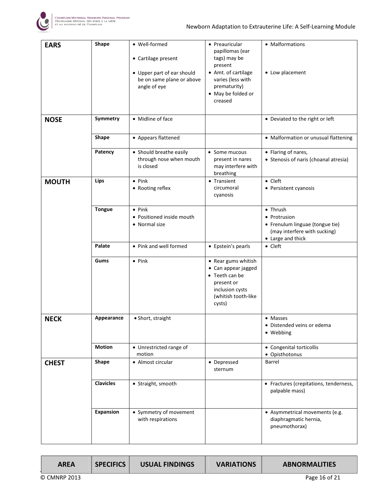

| <b>EARS</b>  | Shape            | • Well-formed<br>• Cartilage present<br>• Upper part of ear should<br>be on same plane or above<br>angle of eye | • Preauricular<br>papillomas (ear<br>tags) may be<br>present<br>• Amt. of cartilage<br>varies (less with<br>prematurity)<br>• May be folded or<br>creased | • Malformations<br>• Low placement                                                                               |
|--------------|------------------|-----------------------------------------------------------------------------------------------------------------|-----------------------------------------------------------------------------------------------------------------------------------------------------------|------------------------------------------------------------------------------------------------------------------|
| <b>NOSE</b>  | Symmetry         | • Midline of face                                                                                               |                                                                                                                                                           | • Deviated to the right or left                                                                                  |
|              | Shape            | • Appears flattened                                                                                             |                                                                                                                                                           | • Malformation or unusual flattening                                                                             |
|              | Patency          | • Should breathe easily<br>through nose when mouth<br>is closed                                                 | • Some mucous<br>present in nares<br>may interfere with<br>breathing                                                                                      | • Flaring of nares,<br>• Stenosis of naris (choanal atresia)                                                     |
| <b>MOUTH</b> | Lips             | $\bullet$ Pink<br>• Rooting reflex                                                                              | • Transient<br>circumoral<br>cyanosis                                                                                                                     | $\bullet$ Cleft<br>• Persistent cyanosis                                                                         |
|              | <b>Tongue</b>    | $\bullet$ Pink<br>• Positioned inside mouth<br>• Normal size                                                    |                                                                                                                                                           | • Thrush<br>• Protrusion<br>• Frenulum linguae (tongue tie)<br>(may interfere with sucking)<br>• Large and thick |
|              | Palate           | • Pink and well formed                                                                                          | • Epstein's pearls                                                                                                                                        | $\bullet$ Cleft                                                                                                  |
|              | Gums             | $\bullet$ Pink                                                                                                  | • Rear gums whitish<br>• Can appear jagged<br>• Teeth can be<br>present or<br>inclusion cysts<br>(whitish tooth-like<br>cysts)                            |                                                                                                                  |
| <b>NECK</b>  | Appearance       | · Short, straight                                                                                               |                                                                                                                                                           | • Masses<br>• Distended veins or edema<br>• Webbing                                                              |
|              | <b>Motion</b>    | • Unrestricted range of<br>motion                                                                               |                                                                                                                                                           | • Congenital torticollis<br>• Opisthotonus                                                                       |
| <b>CHEST</b> | Shape            | • Almost circular                                                                                               | • Depressed<br>sternum                                                                                                                                    | Barrel                                                                                                           |
|              | <b>Clavicles</b> | • Straight, smooth                                                                                              |                                                                                                                                                           | • Fractures (crepitations, tenderness,<br>palpable mass)                                                         |
|              | <b>Expansion</b> | • Symmetry of movement<br>with respirations                                                                     |                                                                                                                                                           | • Asymmetrical movements (e.g.<br>diaphragmatic hernia,<br>pneumothorax)                                         |

| <b>AREA</b>  | <b>SPECIFICS</b> | <b>USUAL FINDINGS</b> | <b>VARIATIONS</b> | <b>ABNORMALITIES</b> |
|--------------|------------------|-----------------------|-------------------|----------------------|
| © CMNRP 2013 |                  |                       |                   | Page 16 of 21        |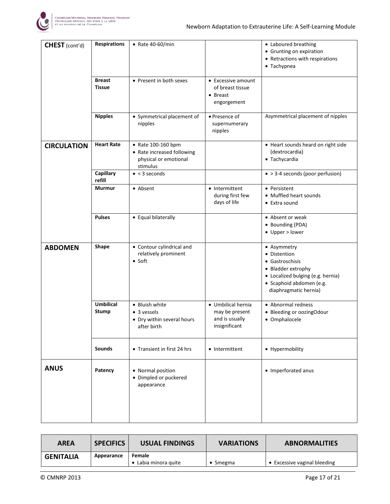

| CHEST (cont'd)     | <b>Respirations</b>              | $\bullet$ Rate 40-60/min                                                              |                                                                         | • Laboured breathing<br>• Grunting on expiration<br>• Retractions with respirations<br>• Tachypnea                                                             |
|--------------------|----------------------------------|---------------------------------------------------------------------------------------|-------------------------------------------------------------------------|----------------------------------------------------------------------------------------------------------------------------------------------------------------|
|                    | <b>Breast</b><br><b>Tissue</b>   | • Present in both sexes                                                               | • Excessive amount<br>of breast tissue<br>• Breast<br>engorgement       |                                                                                                                                                                |
|                    | <b>Nipples</b>                   | • Symmetrical placement of<br>nipples                                                 | • Presence of<br>supernumerary<br>nipples                               | Asymmetrical placement of nipples                                                                                                                              |
| <b>CIRCULATION</b> | <b>Heart Rate</b>                | • Rate 100-160 bpm<br>• Rate increased following<br>physical or emotional<br>stimulus |                                                                         | • Heart sounds heard on right side<br>(dextrocardia)<br>• Tachycardia                                                                                          |
|                    | <b>Capillary</b><br>refill       | $\bullet$ < 3 seconds                                                                 |                                                                         | $\bullet$ > 3-4 seconds (poor perfusion)                                                                                                                       |
|                    | <b>Murmur</b>                    | • Absent                                                                              | • Intermittent<br>during first few<br>days of life                      | • Persistent<br>• Muffled heart sounds<br>• Extra sound                                                                                                        |
|                    | <b>Pulses</b>                    | • Equal bilaterally                                                                   |                                                                         | • Absent or weak<br>• Bounding (PDA)<br>• Upper > lower                                                                                                        |
| <b>ABDOMEN</b>     | Shape                            | • Contour cylindrical and<br>relatively prominent<br>$\bullet$ Soft                   |                                                                         | • Asymmetry<br>• Distention<br>• Gastroschisis<br>• Bladder extrophy<br>• Localized bulging (e.g. hernia)<br>· Scaphoid abdomen (e.g.<br>diaphragmatic hernia) |
|                    | <b>Umbilical</b><br><b>Stump</b> | • Bluish white<br>• 3 vessels<br>• Dry within several hours<br>after birth            | • Umbilical hernia<br>may be present<br>and is usually<br>insignificant | • Abnormal redness<br>• Bleeding or oozingOdour<br>• Omphalocele                                                                                               |
|                    | <b>Sounds</b>                    | • Transient in first 24 hrs                                                           | • Intermittent                                                          | • Hypermobility                                                                                                                                                |
| <b>ANUS</b>        | Patency                          | • Normal position<br>• Dimpled or puckered<br>appearance                              |                                                                         | • Imperforated anus                                                                                                                                            |
|                    |                                  |                                                                                       |                                                                         |                                                                                                                                                                |

| <b>AREA</b>      | <b>SPECIFICS</b> | USUAL FINDINGS                 | <b>VARIATIONS</b> | <b>ABNORMALITIES</b>         |
|------------------|------------------|--------------------------------|-------------------|------------------------------|
| <b>GENITALIA</b> | Appearance       | Female<br>• Labia minora quite | $\bullet$ Smegma  | • Excessive vaginal bleeding |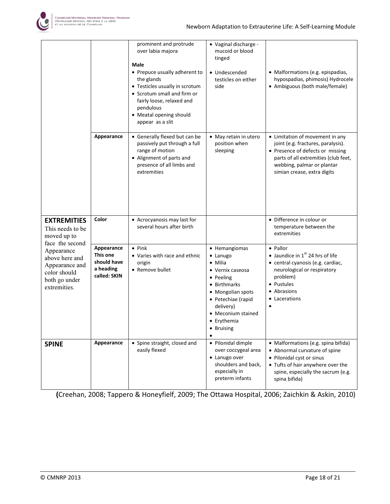

|                                                                                                 |                                                                    | prominent and protrude<br>over labia majora<br>Male<br>• Prepuce usually adherent to<br>the glands<br>• Testicles usually in scrotum<br>• Scrotum small and firm or<br>fairly loose, relaxed and<br>pendulous<br>• Meatal opening should<br>appear as a slit | · Vaginal discharge -<br>mucoid or blood<br>tinged<br>· Undescended<br>testicles on either<br>side                                                                                               | • Malformations (e.g. epispadias,<br>hypospadias, phimosis) Hydrocele<br>• Ambiguous (both male/female)                                                                                                        |
|-------------------------------------------------------------------------------------------------|--------------------------------------------------------------------|--------------------------------------------------------------------------------------------------------------------------------------------------------------------------------------------------------------------------------------------------------------|--------------------------------------------------------------------------------------------------------------------------------------------------------------------------------------------------|----------------------------------------------------------------------------------------------------------------------------------------------------------------------------------------------------------------|
|                                                                                                 | Appearance                                                         | • Generally flexed but can be<br>passively put through a full<br>range of motion<br>• Alignment of parts and<br>presence of all limbs and<br>extremities                                                                                                     | • May retain in utero<br>position when<br>sleeping                                                                                                                                               | • Limitation of movement in any<br>joint (e.g. fractures, paralysis).<br>• Presence of defects or missing<br>parts of all extremities (club feet,<br>webbing, palmar or plantar<br>simian crease, extra digits |
| <b>EXTREMITIES</b><br>This needs to be<br>moved up to<br>face the second                        | Color                                                              | • Acrocyanosis may last for<br>several hours after birth                                                                                                                                                                                                     |                                                                                                                                                                                                  | • Difference in colour or<br>temperature between the<br>extremities                                                                                                                                            |
| Appearance<br>above here and<br>Appearance and<br>color should<br>both go under<br>extremities. | Appearance<br>This one<br>should have<br>a heading<br>called: SKIN | $\bullet$ Pink<br>• Varies with race and ethnic<br>origin<br>• Remove bullet                                                                                                                                                                                 | • Hemangiomas<br>• Lanugo<br>• Milia<br>• Vernix caseosa<br>• Peeling<br>• Birthmarks<br>• Mongolian spots<br>• Petechiae (rapid<br>delivery)<br>• Meconium stained<br>• Erythemia<br>• Bruising | • Pallor<br>• Jaundice in $1st$ 24 hrs of life<br>· central cyanosis (e.g. cardiac,<br>neurological or respiratory<br>problem)<br>• Pustules<br>• Abrasions<br>• Lacerations                                   |
| <b>SPINE</b>                                                                                    | Appearance                                                         | • Spine straight, closed and<br>easily flexed                                                                                                                                                                                                                | • Pilonidal dimple<br>over coccygeal area<br>• Lanugo over<br>shoulders and back,<br>especially in<br>preterm infants                                                                            | • Malformations (e.g. spina bifida)<br>• Abnormal curvature of spine<br>• Pilonidal cyst or sinus<br>• Tufts of hair anywhere over the<br>spine, especially the sacrum (e.g.<br>spina bifida)                  |

(Creehan, 2008; Tappero & Honeyfielf, 2009; The Ottawa Hospital, 2006; Zaichkin & Askin, 2010)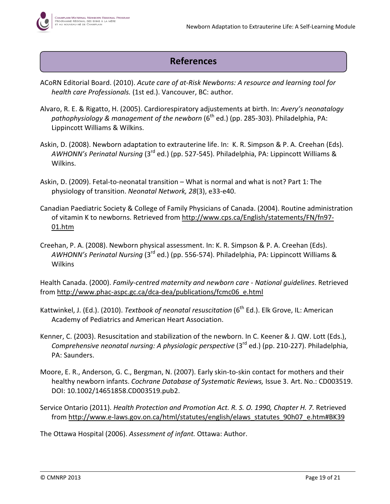# References

- ACoRN Editorial Board. (2010). Acute care of at-Risk Newborns: A resource and learning tool for health care Professionals. (1st ed.). Vancouver, BC: author.
- Alvaro, R. E. & Rigatto, H. (2005). Cardiorespiratory adjustements at birth. In: Avery's neonatalogy pathophysiology & management of the newborn ( $6<sup>th</sup>$  ed.) (pp. 285-303). Philadelphia, PA: Lippincott Williams & Wilkins.
- Askin, D. (2008). Newborn adaptation to extrauterine life. In: K. R. Simpson & P. A. Creehan (Eds). AWHONN's Perinatal Nursing (3rd ed.) (pp. 527-545). Philadelphia, PA: Lippincott Williams & Wilkins.
- Askin, D. (2009). Fetal-to-neonatal transition What is normal and what is not? Part 1: The physiology of transition. Neonatal Network, 28(3), e33-e40.
- Canadian Paediatric Society & College of Family Physicians of Canada. (2004). Routine administration of vitamin K to newborns. Retrieved from http://www.cps.ca/English/statements/FN/fn97- 01.htm
- Creehan, P. A. (2008). Newborn physical assessment. In: K. R. Simpson & P. A. Creehan (Eds). AWHONN's Perinatal Nursing (3<sup>rd</sup> ed.) (pp. 556-574). Philadelphia, PA: Lippincott Williams & Wilkins

Health Canada. (2000). Family-centred maternity and newborn care - National guidelines. Retrieved from http://www.phac-aspc.gc.ca/dca-dea/publications/fcmc06\_e.html

- Kattwinkel, J. (Ed.). (2010). Textbook of neonatal resuscitation (6<sup>th</sup> Ed.). Elk Grove, IL: American Academy of Pediatrics and American Heart Association.
- Kenner, C. (2003). Resuscitation and stabilization of the newborn. In C. Keener & J. QW. Lott (Eds.), Comprehensive neonatal nursing: A physiologic perspective (3<sup>rd</sup> ed.) (pp. 210-227). Philadelphia, PA: Saunders.
- Moore, E. R., Anderson, G. C., Bergman, N. (2007). Early skin-to-skin contact for mothers and their healthy newborn infants. Cochrane Database of Systematic Reviews, Issue 3. Art. No.: CD003519. DOI: 10.1002/14651858.CD003519.pub2.
- Service Ontario (2011). Health Protection and Promotion Act. R. S. O. 1990, Chapter H. 7. Retrieved from http://www.e-laws.gov.on.ca/html/statutes/english/elaws\_statutes\_90h07\_e.htm#BK39

The Ottawa Hospital (2006). Assessment of infant. Ottawa: Author.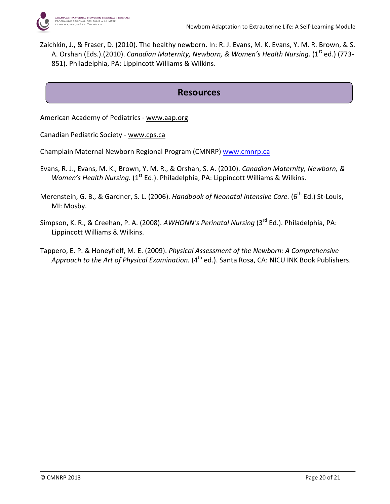Zaichkin, J., & Fraser, D. (2010). The healthy newborn. In: R. J. Evans, M. K. Evans, Y. M. R. Brown, & S. A. Orshan (Eds.).(2010). Canadian Maternity, Newborn, & Women's Health Nursing. (1<sup>st</sup> ed.) (773-851). Philadelphia, PA: Lippincott Williams & Wilkins.

## Resources

American Academy of Pediatrics - www.aap.org

Canadian Pediatric Society - www.cps.ca

- Champlain Maternal Newborn Regional Program (CMNRP) www.cmnrp.ca
- Evans, R. J., Evans, M. K., Brown, Y. M. R., & Orshan, S. A. (2010). Canadian Maternity, Newborn, & Women's Health Nursing.  $(1^{\text{st}}$  Ed.). Philadelphia, PA: Lippincott Williams & Wilkins.
- Merenstein, G. B., & Gardner, S. L. (2006). Handbook of Neonatal Intensive Care. (6<sup>th</sup> Ed.) St-Louis, MI: Mosby.
- Simpson, K. R., & Creehan, P. A. (2008). AWHONN's Perinatal Nursing (3<sup>rd</sup> Ed.). Philadelphia, PA: Lippincott Williams & Wilkins.
- Tappero, E. P. & Honeyfielf, M. E. (2009). Physical Assessment of the Newborn: A Comprehensive Approach to the Art of Physical Examination.  $(4^{th}$  ed.). Santa Rosa, CA: NICU INK Book Publishers.